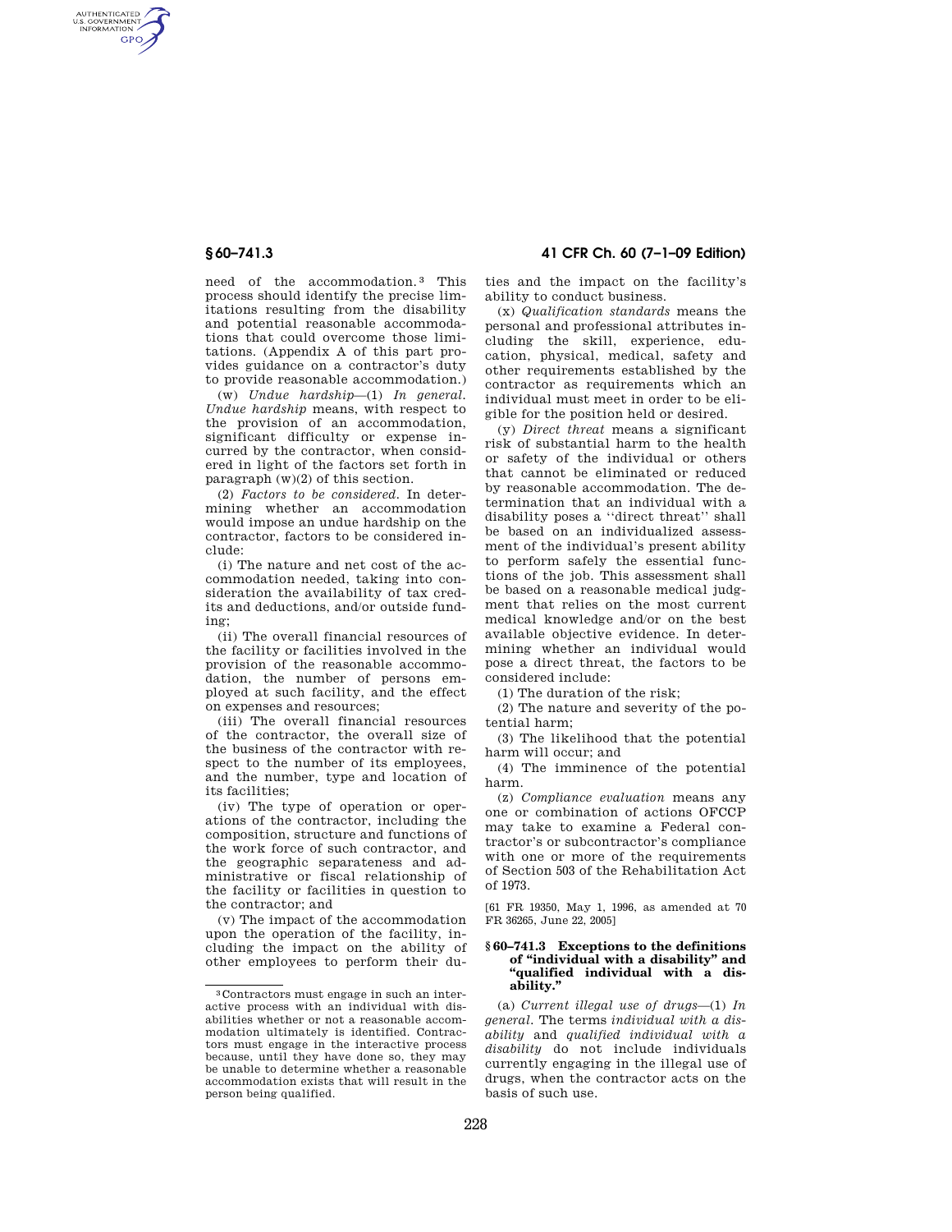AUTHENTICATED<br>U.S. GOVERNMENT<br>INFORMATION GPO

> need of the accommodation. 3 This process should identify the precise limitations resulting from the disability and potential reasonable accommodations that could overcome those limitations. (Appendix A of this part provides guidance on a contractor's duty to provide reasonable accommodation.)

> (w) *Undue hardship*—(1) *In general. Undue hardship* means, with respect to the provision of an accommodation, significant difficulty or expense incurred by the contractor, when considered in light of the factors set forth in paragraph (w)(2) of this section.

> (2) *Factors to be considered.* In determining whether an accommodation would impose an undue hardship on the contractor, factors to be considered include:

> (i) The nature and net cost of the accommodation needed, taking into consideration the availability of tax credits and deductions, and/or outside funding:

> (ii) The overall financial resources of the facility or facilities involved in the provision of the reasonable accommodation, the number of persons employed at such facility, and the effect on expenses and resources;

> (iii) The overall financial resources of the contractor, the overall size of the business of the contractor with respect to the number of its employees, and the number, type and location of its facilities;

> (iv) The type of operation or operations of the contractor, including the composition, structure and functions of the work force of such contractor, and the geographic separateness and administrative or fiscal relationship of the facility or facilities in question to the contractor; and

> (v) The impact of the accommodation upon the operation of the facility, including the impact on the ability of other employees to perform their du-

**§ 60–741.3 41 CFR Ch. 60 (7–1–09 Edition)** 

ties and the impact on the facility's ability to conduct business.

(x) *Qualification standards* means the personal and professional attributes including the skill, experience, education, physical, medical, safety and other requirements established by the contractor as requirements which an individual must meet in order to be eligible for the position held or desired.

(y) *Direct threat* means a significant risk of substantial harm to the health or safety of the individual or others that cannot be eliminated or reduced by reasonable accommodation. The determination that an individual with a disability poses a ''direct threat'' shall be based on an individualized assessment of the individual's present ability to perform safely the essential functions of the job. This assessment shall be based on a reasonable medical judgment that relies on the most current medical knowledge and/or on the best available objective evidence. In determining whether an individual would pose a direct threat, the factors to be considered include:

(1) The duration of the risk;

(2) The nature and severity of the potential harm;

(3) The likelihood that the potential harm will occur; and

(4) The imminence of the potential harm.

(z) *Compliance evaluation* means any one or combination of actions OFCCP may take to examine a Federal contractor's or subcontractor's compliance with one or more of the requirements of Section 503 of the Rehabilitation Act of 1973.

[61 FR 19350, May 1, 1996, as amended at 70 FR 36265, June 22, 2005]

## **§ 60–741.3 Exceptions to the definitions of ''individual with a disability'' and ''qualified individual with a disability.''**

(a) *Current illegal use of drugs*—(1) *In general.* The terms *individual with a disability* and *qualified individual with a disability* do not include individuals currently engaging in the illegal use of drugs, when the contractor acts on the basis of such use.

<sup>3</sup> Contractors must engage in such an interactive process with an individual with disabilities whether or not a reasonable accommodation ultimately is identified. Contractors must engage in the interactive process because, until they have done so, they may be unable to determine whether a reasonable accommodation exists that will result in the person being qualified.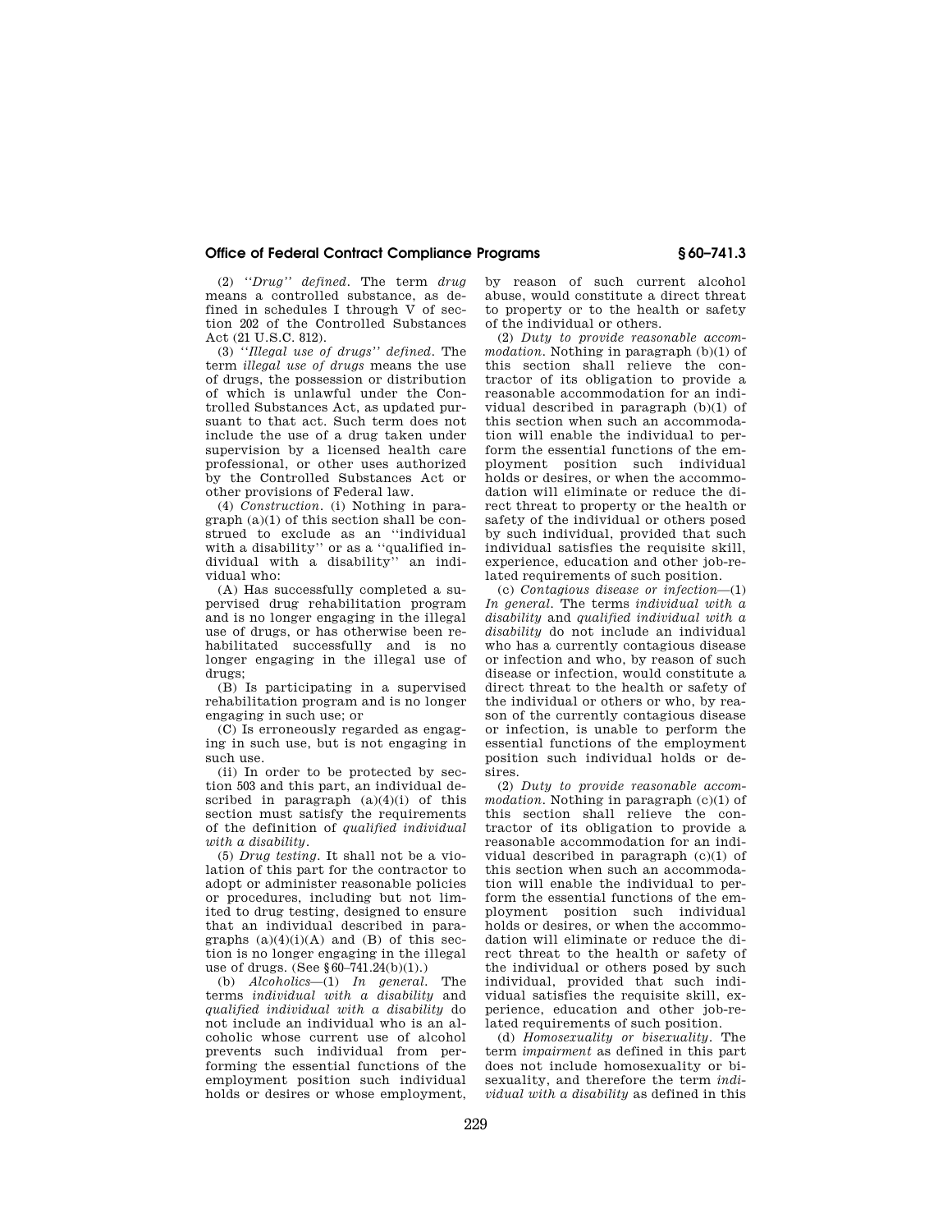## **Office of Federal Contract Compliance Programs § 60–741.3**

(2) *''Drug'' defined.* The term *drug*  means a controlled substance, as defined in schedules I through  $\overline{V}$  of section 202 of the Controlled Substances Act (21 U.S.C. 812).

(3) *''Illegal use of drugs'' defined.* The term *illegal use of drugs* means the use of drugs, the possession or distribution of which is unlawful under the Controlled Substances Act, as updated pursuant to that act. Such term does not include the use of a drug taken under supervision by a licensed health care professional, or other uses authorized by the Controlled Substances Act or other provisions of Federal law.

(4) *Construction.* (i) Nothing in paragraph (a)(1) of this section shall be construed to exclude as an ''individual with a disability" or as a "qualified individual with a disability'' an individual who:

(A) Has successfully completed a supervised drug rehabilitation program and is no longer engaging in the illegal use of drugs, or has otherwise been rehabilitated successfully and is no longer engaging in the illegal use of drugs;

(B) Is participating in a supervised rehabilitation program and is no longer engaging in such use; or

(C) Is erroneously regarded as engaging in such use, but is not engaging in such use.

(ii) In order to be protected by section 503 and this part, an individual described in paragraph  $(a)(4)(i)$  of this section must satisfy the requirements of the definition of *qualified individual with a disability.* 

(5) *Drug testing.* It shall not be a violation of this part for the contractor to adopt or administer reasonable policies or procedures, including but not limited to drug testing, designed to ensure that an individual described in paragraphs  $(a)(4)(i)(A)$  and  $(B)$  of this section is no longer engaging in the illegal use of drugs. (See §60–741.24(b)(1).)

(b) *Alcoholics*—(1) *In general.* The terms *individual with a disability* and *qualified individual with a disability* do not include an individual who is an alcoholic whose current use of alcohol prevents such individual from performing the essential functions of the employment position such individual holds or desires or whose employment, by reason of such current alcohol abuse, would constitute a direct threat to property or to the health or safety of the individual or others.

(2) *Duty to provide reasonable accommodation.* Nothing in paragraph (b)(1) of this section shall relieve the contractor of its obligation to provide a reasonable accommodation for an individual described in paragraph (b)(1) of this section when such an accommodation will enable the individual to perform the essential functions of the employment position such individual holds or desires, or when the accommodation will eliminate or reduce the direct threat to property or the health or safety of the individual or others posed by such individual, provided that such individual satisfies the requisite skill, experience, education and other job-related requirements of such position.

(c) *Contagious disease or infection*—(1) *In general.* The terms *individual with a disability* and *qualified individual with a disability* do not include an individual who has a currently contagious disease or infection and who, by reason of such disease or infection, would constitute a direct threat to the health or safety of the individual or others or who, by reason of the currently contagious disease or infection, is unable to perform the essential functions of the employment position such individual holds or desires.

(2) *Duty to provide reasonable accommodation.* Nothing in paragraph (c)(1) of this section shall relieve the contractor of its obligation to provide a reasonable accommodation for an individual described in paragraph (c)(1) of this section when such an accommodation will enable the individual to perform the essential functions of the employment position such individual holds or desires, or when the accommodation will eliminate or reduce the direct threat to the health or safety of the individual or others posed by such individual, provided that such individual satisfies the requisite skill, experience, education and other job-related requirements of such position.

(d) *Homosexuality or bisexuality.* The term *impairment* as defined in this part does not include homosexuality or bisexuality, and therefore the term *individual with a disability* as defined in this